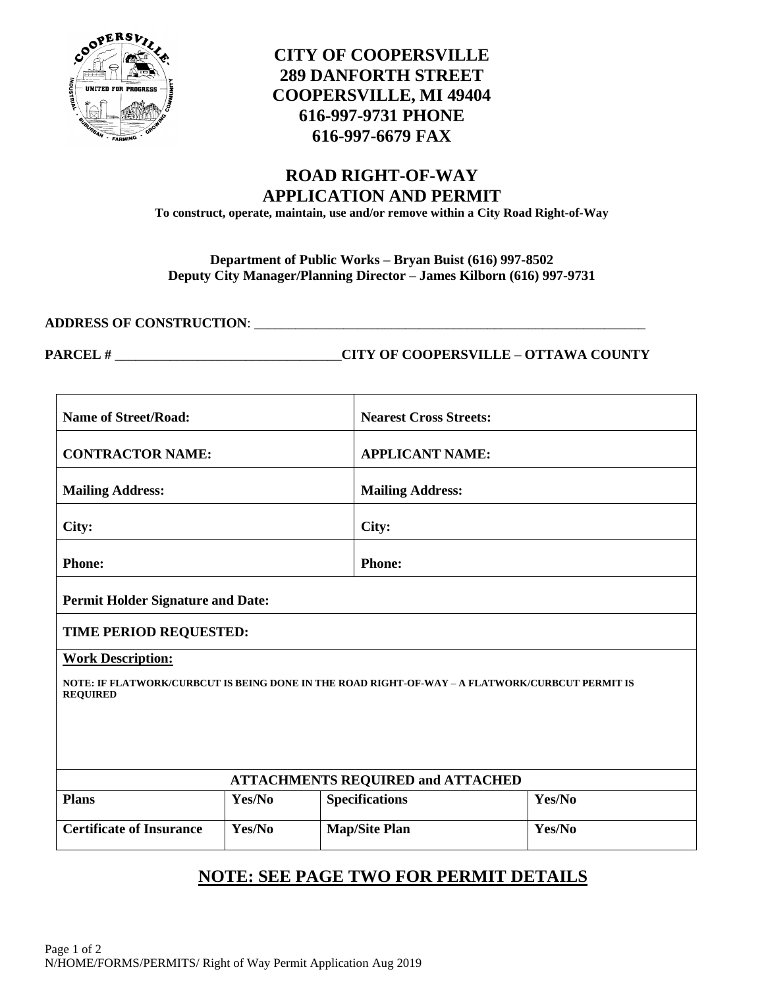

## **CITY OF COOPERSVILLE 289 DANFORTH STREET COOPERSVILLE, MI 49404 616-997-9731 PHONE 616-997-6679 FAX**

# **ROAD RIGHT-OF-WAY APPLICATION AND PERMIT**

**To construct, operate, maintain, use and/or remove within a City Road Right-of-Way**

### **Department of Public Works – Bryan Buist (616) 997-8502 Deputy City Manager/Planning Director – James Kilborn (616) 997-9731**

**ADDRESS OF CONSTRUCTION**: \_\_\_\_\_\_\_\_\_\_\_\_\_\_\_\_\_\_\_\_\_\_\_\_\_\_\_\_\_\_\_\_\_\_\_\_\_\_\_\_\_\_\_\_\_\_\_\_\_\_\_\_\_\_\_\_\_

**PARCEL #** \_\_\_\_\_\_\_\_\_\_\_\_\_\_\_\_\_\_\_\_\_\_\_\_\_\_\_\_\_\_\_\_\_**CITY OF COOPERSVILLE – OTTAWA COUNTY**

| <b>Name of Street/Road:</b>                                                                                                                    |        |                         | <b>Nearest Cross Streets:</b> |  |
|------------------------------------------------------------------------------------------------------------------------------------------------|--------|-------------------------|-------------------------------|--|
| <b>CONTRACTOR NAME:</b>                                                                                                                        |        |                         | <b>APPLICANT NAME:</b>        |  |
| <b>Mailing Address:</b>                                                                                                                        |        | <b>Mailing Address:</b> |                               |  |
| City:                                                                                                                                          |        | City:                   |                               |  |
| <b>Phone:</b>                                                                                                                                  |        | <b>Phone:</b>           |                               |  |
| <b>Permit Holder Signature and Date:</b>                                                                                                       |        |                         |                               |  |
| TIME PERIOD REQUESTED:                                                                                                                         |        |                         |                               |  |
| <b>Work Description:</b><br>NOTE: IF FLATWORK/CURBCUT IS BEING DONE IN THE ROAD RIGHT-OF-WAY – A FLATWORK/CURBCUT PERMIT IS<br><b>REQUIRED</b> |        |                         |                               |  |
| <b>ATTACHMENTS REQUIRED and ATTACHED</b>                                                                                                       |        |                         |                               |  |
| <b>Plans</b>                                                                                                                                   | Yes/No | <b>Specifications</b>   | Yes/No                        |  |
| <b>Certificate of Insurance</b>                                                                                                                | Yes/No | <b>Map/Site Plan</b>    | Yes/No                        |  |

# **NOTE: SEE PAGE TWO FOR PERMIT DETAILS**